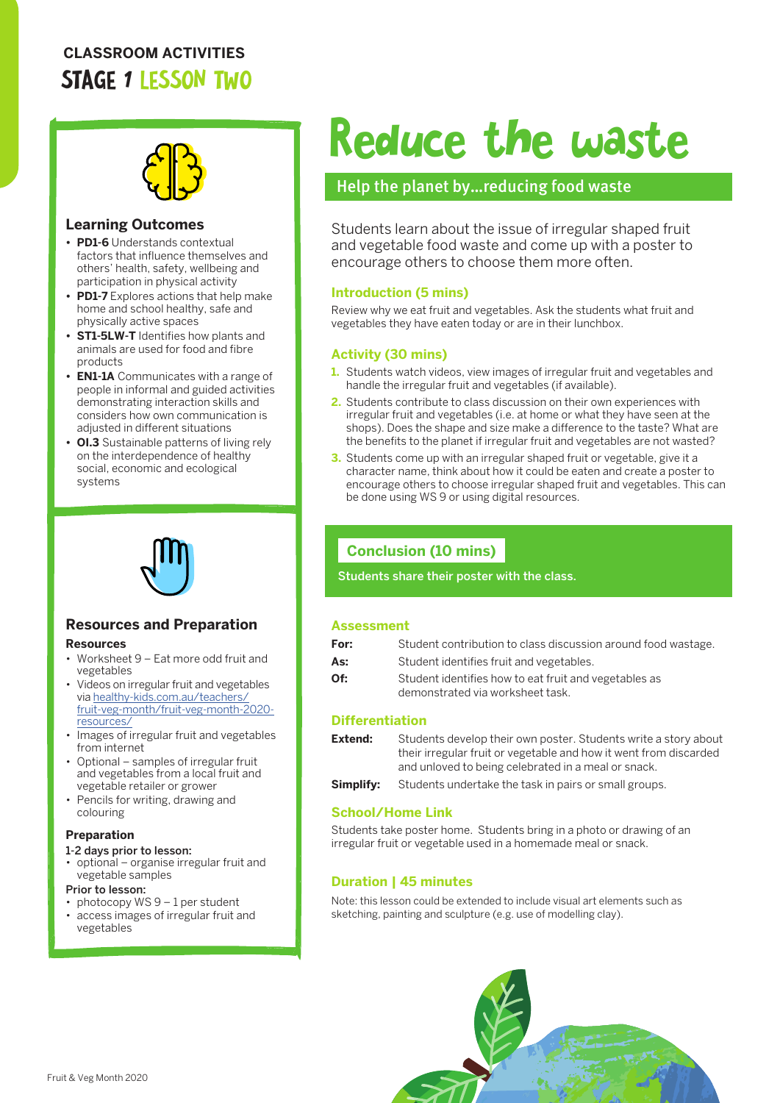## **CLASSROOM ACTIVITIES** STAGE 1 LESSON TWO



#### **Learning Outcomes**

- **• PD1-6** Understands contextual factors that influence themselves and others' health, safety, wellbeing and participation in physical activity
- **• PD1-7** Explores actions that help make home and school healthy, safe and physically active spaces
- **• ST1-5LW-T** Identifies how plants and animals are used for food and fibre products
- **• EN1-1A** Communicates with a range of people in informal and guided activities demonstrating interaction skills and considers how own communication is adjusted in different situations
- **• OI.3** Sustainable patterns of living rely on the interdependence of healthy social, economic and ecological systems



## **Resources and Preparation**

#### **Resources**

- Worksheet 9 Eat more odd fruit and vegetables
- Videos on irregular fruit and vegetables via [healthy-kids.com.au/teachers/](http://healthy-kids.com.au/teachers/fruit-veg-month/fruit-veg-month-2020-resources/) [fruit-veg-month/fruit-veg-month-2020](http://healthy-kids.com.au/teachers/fruit-veg-month/fruit-veg-month-2020-resources/) [resources/](http://healthy-kids.com.au/teachers/fruit-veg-month/fruit-veg-month-2020-resources/)
- Images of irregular fruit and vegetables from internet
- Optional samples of irregular fruit and vegetables from a local fruit and vegetable retailer or grower
- Pencils for writing, drawing and colouring

#### **Preparation**

#### 1-2 days prior to lesson:

- optional organise irregular fruit and vegetable samples
- Prior to lesson:
- photocopy WS 9 1 per student
- access images of irregular fruit and vegetables

# Reduce the waste

### Help the planet by…reducing food waste

Students learn about the issue of irregular shaped fruit and vegetable food waste and come up with a poster to encourage others to choose them more often.

#### **Introduction (5 mins)**

Review why we eat fruit and vegetables. Ask the students what fruit and vegetables they have eaten today or are in their lunchbox.

#### **Activity (30 mins)**

- **1.** Students watch videos, view images of irregular fruit and vegetables and handle the irregular fruit and vegetables (if available).
- **2.** Students contribute to class discussion on their own experiences with irregular fruit and vegetables (i.e. at home or what they have seen at the shops). Does the shape and size make a difference to the taste? What are the benefits to the planet if irregular fruit and vegetables are not wasted?
- **3.** Students come up with an irregular shaped fruit or vegetable, give it a character name, think about how it could be eaten and create a poster to encourage others to choose irregular shaped fruit and vegetables. This can be done using WS 9 or using digital resources.

## **Conclusion (10 mins)**

Students share their poster with the class.

#### **Assessment**

| For: | Student contribution to class discussion around food wastage. |
|------|---------------------------------------------------------------|
| As:  | Student identifies fruit and vegetables.                      |

- **Of:** Student identifies how to eat fruit and vegetables as
- demonstrated via worksheet task.

#### **Differentiation**

**Extend:** Students develop their own poster. Students write a story about their irregular fruit or vegetable and how it went from discarded and unloved to being celebrated in a meal or snack.

**Simplify:** Students undertake the task in pairs or small groups.

#### **School/Home Link**

Students take poster home. Students bring in a photo or drawing of an irregular fruit or vegetable used in a homemade meal or snack.

#### **Duration | 45 minutes**

Note: this lesson could be extended to include visual art elements such as sketching, painting and sculpture (e.g. use of modelling clay).